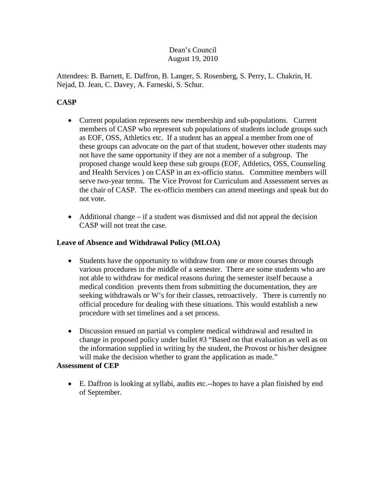### Dean's Council August 19, 2010

Attendees: B. Barnett, E. Daffron, B. Langer, S. Rosenberg, S. Perry, L. Chakrin, H. Nejad, D. Jean, C. Davey, A. Farneski, S. Schur.

# **CASP**

- Current population represents new membership and sub-populations. Current members of CASP who represent sub populations of students include groups such as EOF, OSS, Athletics etc. If a student has an appeal a member from one of these groups can advocate on the part of that student, however other students may not have the same opportunity if they are not a member of a subgroup. The proposed change would keep these sub groups (EOF, Athletics, OSS, Counseling and Health Services ) on CASP in an ex-officio status. Committee members will serve two-year terms. The Vice Provost for Curriculum and Assessment serves as the chair of CASP. The ex-officio members can attend meetings and speak but do not vote.
- Additional change if a student was dismissed and did not appeal the decision CASP will not treat the case.

## **Leave of Absence and Withdrawal Policy (MLOA)**

- Students have the opportunity to withdraw from one or more courses through various procedures in the middle of a semester. There are some students who are not able to withdraw for medical reasons during the semester itself because a medical condition prevents them from submitting the documentation, they are seeking withdrawals or W's for their classes, retroactively. There is currently no official procedure for dealing with these situations. This would establish a new procedure with set timelines and a set process.
- Discussion ensued on partial vs complete medical withdrawal and resulted in change in proposed policy under bullet #3 "Based on that evaluation as well as on the information supplied in writing by the student, the Provost or his/her designee will make the decision whether to grant the application as made."

## **Assessment of CEP**

• E. Daffron is looking at syllabi, audits etc.--hopes to have a plan finished by end of September.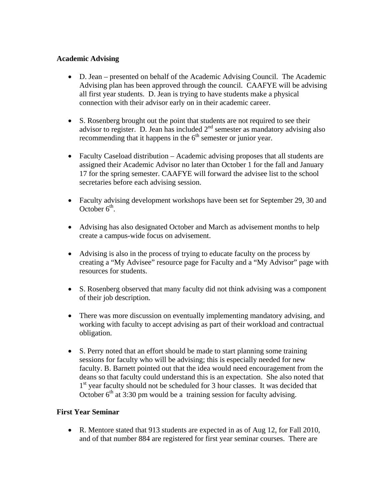#### **Academic Advising**

- D. Jean presented on behalf of the Academic Advising Council. The Academic Advising plan has been approved through the council. CAAFYE will be advising all first year students. D. Jean is trying to have students make a physical connection with their advisor early on in their academic career.
- S. Rosenberg brought out the point that students are not required to see their advisor to register. D. Jean has included  $2<sup>nd</sup>$  semester as mandatory advising also recommending that it happens in the  $6<sup>th</sup>$  semester or junior year.
- Faculty Caseload distribution Academic advising proposes that all students are assigned their Academic Advisor no later than October 1 for the fall and January 17 for the spring semester. CAAFYE will forward the advisee list to the school secretaries before each advising session.
- Faculty advising development workshops have been set for September 29, 30 and October  $6<sup>th</sup>$ .
- Advising has also designated October and March as advisement months to help create a campus-wide focus on advisement.
- Advising is also in the process of trying to educate faculty on the process by creating a "My Advisee" resource page for Faculty and a "My Advisor" page with resources for students.
- S. Rosenberg observed that many faculty did not think advising was a component of their job description.
- There was more discussion on eventually implementing mandatory advising, and working with faculty to accept advising as part of their workload and contractual obligation.
- S. Perry noted that an effort should be made to start planning some training sessions for faculty who will be advising; this is especially needed for new faculty. B. Barnett pointed out that the idea would need encouragement from the deans so that faculty could understand this is an expectation. She also noted that 1<sup>st</sup> year faculty should not be scheduled for 3 hour classes. It was decided that October  $6<sup>th</sup>$  at 3:30 pm would be a training session for faculty advising.

#### **First Year Seminar**

• R. Mentore stated that 913 students are expected in as of Aug 12, for Fall 2010, and of that number 884 are registered for first year seminar courses. There are